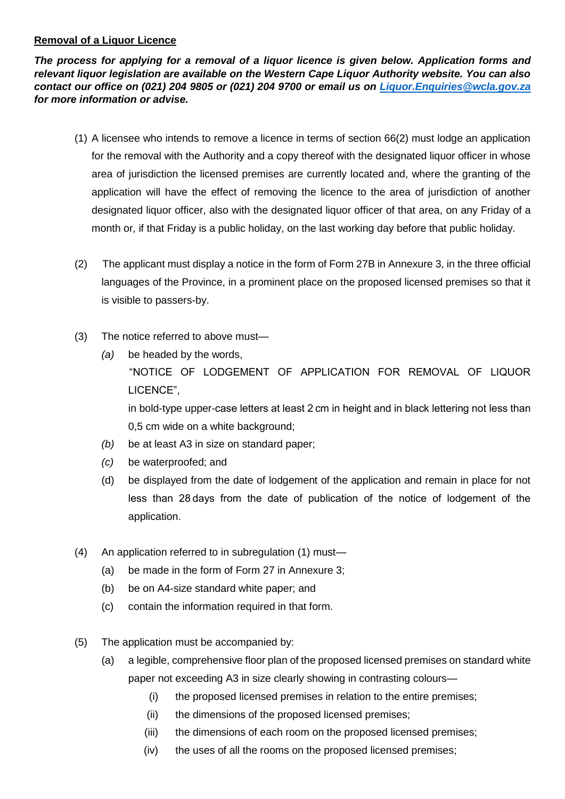## **Removal of a Liquor Licence**

*The process for applying for a removal of a liquor licence is given below. Application forms and relevant liquor legislation are available on the Western Cape Liquor Authority website. You can also contact our office on (021) 204 9805 or (021) 204 9700 or email us on [Liquor.Enquiries@wcla.gov.za](mailto:Liquor.Enquiries@wcla.gov.za) for more information or advise.* 

- (1) A licensee who intends to remove a licence in terms of section 66(2) must lodge an application for the removal with the Authority and a copy thereof with the designated liquor officer in whose area of jurisdiction the licensed premises are currently located and, where the granting of the application will have the effect of removing the licence to the area of jurisdiction of another designated liquor officer, also with the designated liquor officer of that area, on any Friday of a month or, if that Friday is a public holiday, on the last working day before that public holiday.
- (2) The applicant must display a notice in the form of Form 27B in Annexure 3, in the three official languages of the Province, in a prominent place on the proposed licensed premises so that it is visible to passers-by.
- (3) The notice referred to above must—
	- *(a)* be headed by the words, "NOTICE OF LODGEMENT OF APPLICATION FOR REMOVAL OF LIQUOR LICENCE", in bold-type upper-case letters at least 2 cm in height and in black lettering not less than 0,5 cm wide on a white background;
	- *(b)* be at least A3 in size on standard paper;
	- *(c)* be waterproofed; and
	- (d) be displayed from the date of lodgement of the application and remain in place for not less than 28 days from the date of publication of the notice of lodgement of the application.
- (4) An application referred to in subregulation (1) must—
	- (a) be made in the form of Form 27 in Annexure 3;
	- (b) be on A4-size standard white paper; and
	- (c) contain the information required in that form.
- (5) The application must be accompanied by:
	- (a) a legible, comprehensive floor plan of the proposed licensed premises on standard white paper not exceeding A3 in size clearly showing in contrasting colours—
		- (i) the proposed licensed premises in relation to the entire premises;
		- (ii) the dimensions of the proposed licensed premises;
		- (iii) the dimensions of each room on the proposed licensed premises;
		- (iv) the uses of all the rooms on the proposed licensed premises;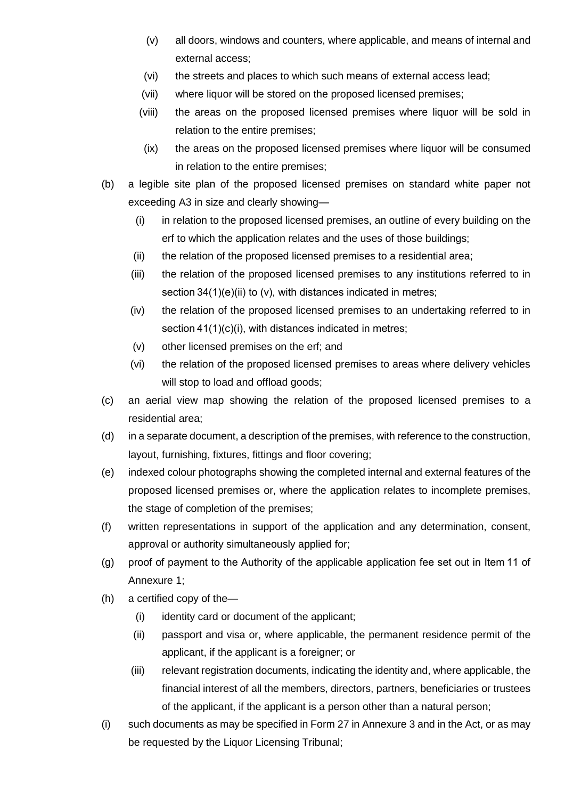- (v) all doors, windows and counters, where applicable, and means of internal and external access;
- (vi) the streets and places to which such means of external access lead;
- (vii) where liquor will be stored on the proposed licensed premises;
- (viii) the areas on the proposed licensed premises where liquor will be sold in relation to the entire premises;
- (ix) the areas on the proposed licensed premises where liquor will be consumed in relation to the entire premises;
- (b) a legible site plan of the proposed licensed premises on standard white paper not exceeding A3 in size and clearly showing—
	- (i) in relation to the proposed licensed premises, an outline of every building on the erf to which the application relates and the uses of those buildings;
	- (ii) the relation of the proposed licensed premises to a residential area;
	- (iii) the relation of the proposed licensed premises to any institutions referred to in section  $34(1)(e)(ii)$  to (v), with distances indicated in metres;
	- (iv) the relation of the proposed licensed premises to an undertaking referred to in section  $41(1)(c)(i)$ , with distances indicated in metres;
	- (v) other licensed premises on the erf; and
	- (vi) the relation of the proposed licensed premises to areas where delivery vehicles will stop to load and offload goods;
- (c) an aerial view map showing the relation of the proposed licensed premises to a residential area;
- (d) in a separate document, a description of the premises, with reference to the construction, layout, furnishing, fixtures, fittings and floor covering;
- (e) indexed colour photographs showing the completed internal and external features of the proposed licensed premises or, where the application relates to incomplete premises, the stage of completion of the premises;
- (f) written representations in support of the application and any determination, consent, approval or authority simultaneously applied for;
- (g) proof of payment to the Authority of the applicable application fee set out in Item 11 of Annexure 1;
- (h) a certified copy of the—
	- (i) identity card or document of the applicant;
	- (ii) passport and visa or, where applicable, the permanent residence permit of the applicant, if the applicant is a foreigner; or
	- (iii) relevant registration documents, indicating the identity and, where applicable, the financial interest of all the members, directors, partners, beneficiaries or trustees of the applicant, if the applicant is a person other than a natural person;
- (i) such documents as may be specified in Form 27 in Annexure 3 and in the Act, or as may be requested by the Liquor Licensing Tribunal;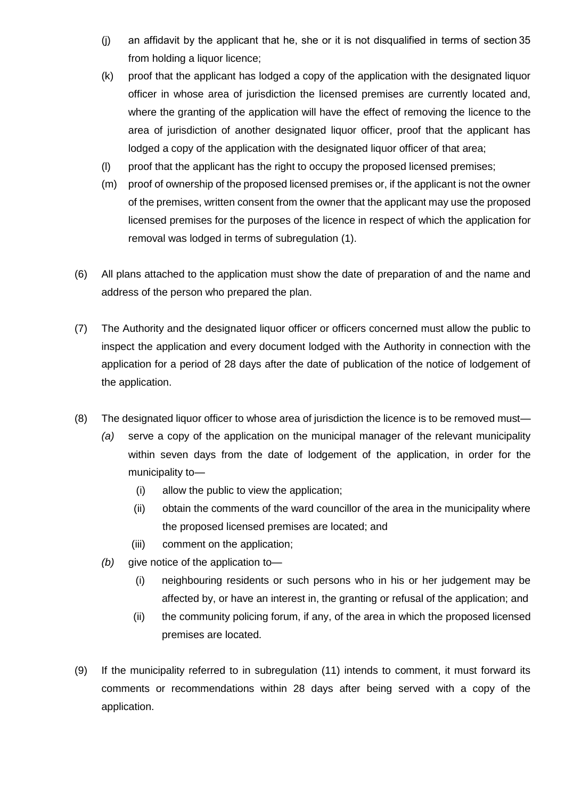- (j) an affidavit by the applicant that he, she or it is not disqualified in terms of section 35 from holding a liquor licence;
- (k) proof that the applicant has lodged a copy of the application with the designated liquor officer in whose area of jurisdiction the licensed premises are currently located and, where the granting of the application will have the effect of removing the licence to the area of jurisdiction of another designated liquor officer, proof that the applicant has lodged a copy of the application with the designated liquor officer of that area;
- (l) proof that the applicant has the right to occupy the proposed licensed premises;
- (m) proof of ownership of the proposed licensed premises or, if the applicant is not the owner of the premises, written consent from the owner that the applicant may use the proposed licensed premises for the purposes of the licence in respect of which the application for removal was lodged in terms of subregulation (1).
- (6) All plans attached to the application must show the date of preparation of and the name and address of the person who prepared the plan.
- (7) The Authority and the designated liquor officer or officers concerned must allow the public to inspect the application and every document lodged with the Authority in connection with the application for a period of 28 days after the date of publication of the notice of lodgement of the application.
- (8) The designated liquor officer to whose area of jurisdiction the licence is to be removed must—
	- *(a)* serve a copy of the application on the municipal manager of the relevant municipality within seven days from the date of lodgement of the application, in order for the municipality to—
		- (i) allow the public to view the application;
		- (ii) obtain the comments of the ward councillor of the area in the municipality where the proposed licensed premises are located; and
		- (iii) comment on the application;
	- *(b)* give notice of the application to—
		- (i) neighbouring residents or such persons who in his or her judgement may be affected by, or have an interest in, the granting or refusal of the application; and
		- (ii) the community policing forum, if any, of the area in which the proposed licensed premises are located.
- (9) If the municipality referred to in subregulation (11) intends to comment, it must forward its comments or recommendations within 28 days after being served with a copy of the application.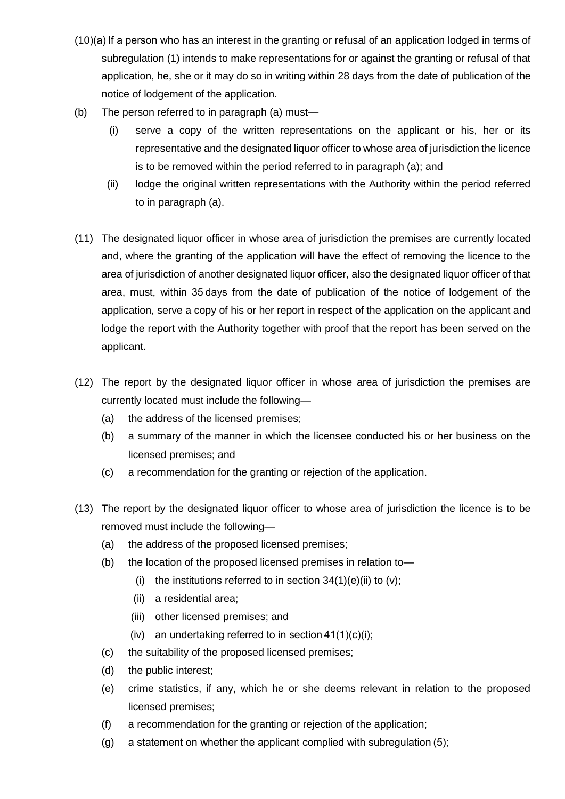- (10)(a) If a person who has an interest in the granting or refusal of an application lodged in terms of subregulation (1) intends to make representations for or against the granting or refusal of that application, he, she or it may do so in writing within 28 days from the date of publication of the notice of lodgement of the application.
- (b) The person referred to in paragraph (a) must—
	- (i) serve a copy of the written representations on the applicant or his, her or its representative and the designated liquor officer to whose area of jurisdiction the licence is to be removed within the period referred to in paragraph (a); and
	- (ii) lodge the original written representations with the Authority within the period referred to in paragraph (a).
- (11) The designated liquor officer in whose area of jurisdiction the premises are currently located and, where the granting of the application will have the effect of removing the licence to the area of jurisdiction of another designated liquor officer, also the designated liquor officer of that area, must, within 35 days from the date of publication of the notice of lodgement of the application, serve a copy of his or her report in respect of the application on the applicant and lodge the report with the Authority together with proof that the report has been served on the applicant.
- (12) The report by the designated liquor officer in whose area of jurisdiction the premises are currently located must include the following—
	- (a) the address of the licensed premises;
	- (b) a summary of the manner in which the licensee conducted his or her business on the licensed premises; and
	- (c) a recommendation for the granting or rejection of the application.
- (13) The report by the designated liquor officer to whose area of jurisdiction the licence is to be removed must include the following—
	- (a) the address of the proposed licensed premises;
	- (b) the location of the proposed licensed premises in relation to—
		- (i) the institutions referred to in section  $34(1)(e)(ii)$  to  $(v)$ ;
		- (ii) a residential area;
		- (iii) other licensed premises; and
		- (iv) an undertaking referred to in section  $41(1)(c)(i)$ ;
	- (c) the suitability of the proposed licensed premises;
	- (d) the public interest;
	- (e) crime statistics, if any, which he or she deems relevant in relation to the proposed licensed premises;
	- (f) a recommendation for the granting or rejection of the application;
	- (g) a statement on whether the applicant complied with subregulation (5);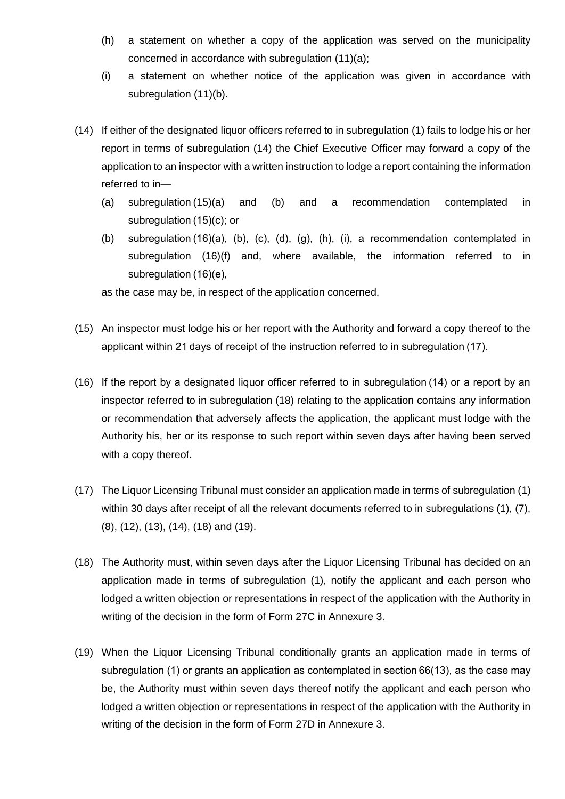- (h) a statement on whether a copy of the application was served on the municipality concerned in accordance with subregulation (11)(a);
- (i) a statement on whether notice of the application was given in accordance with subregulation (11)(b).
- (14) If either of the designated liquor officers referred to in subregulation (1) fails to lodge his or her report in terms of subregulation (14) the Chief Executive Officer may forward a copy of the application to an inspector with a written instruction to lodge a report containing the information referred to in—
	- (a) subregulation (15)(a) and (b) and a recommendation contemplated in subregulation (15)(c); or
	- (b) subregulation (16)(a), (b), (c), (d), (g), (h), (i), a recommendation contemplated in subregulation (16)(f) and, where available, the information referred to in subregulation (16)(e),

as the case may be, in respect of the application concerned.

- (15) An inspector must lodge his or her report with the Authority and forward a copy thereof to the applicant within 21 days of receipt of the instruction referred to in subregulation (17).
- (16) If the report by a designated liquor officer referred to in subregulation (14) or a report by an inspector referred to in subregulation (18) relating to the application contains any information or recommendation that adversely affects the application, the applicant must lodge with the Authority his, her or its response to such report within seven days after having been served with a copy thereof.
- (17) The Liquor Licensing Tribunal must consider an application made in terms of subregulation (1) within 30 days after receipt of all the relevant documents referred to in subregulations (1), (7), (8), (12), (13), (14), (18) and (19).
- (18) The Authority must, within seven days after the Liquor Licensing Tribunal has decided on an application made in terms of subregulation (1), notify the applicant and each person who lodged a written objection or representations in respect of the application with the Authority in writing of the decision in the form of Form 27C in Annexure 3.
- (19) When the Liquor Licensing Tribunal conditionally grants an application made in terms of subregulation (1) or grants an application as contemplated in section 66(13), as the case may be, the Authority must within seven days thereof notify the applicant and each person who lodged a written objection or representations in respect of the application with the Authority in writing of the decision in the form of Form 27D in Annexure 3.